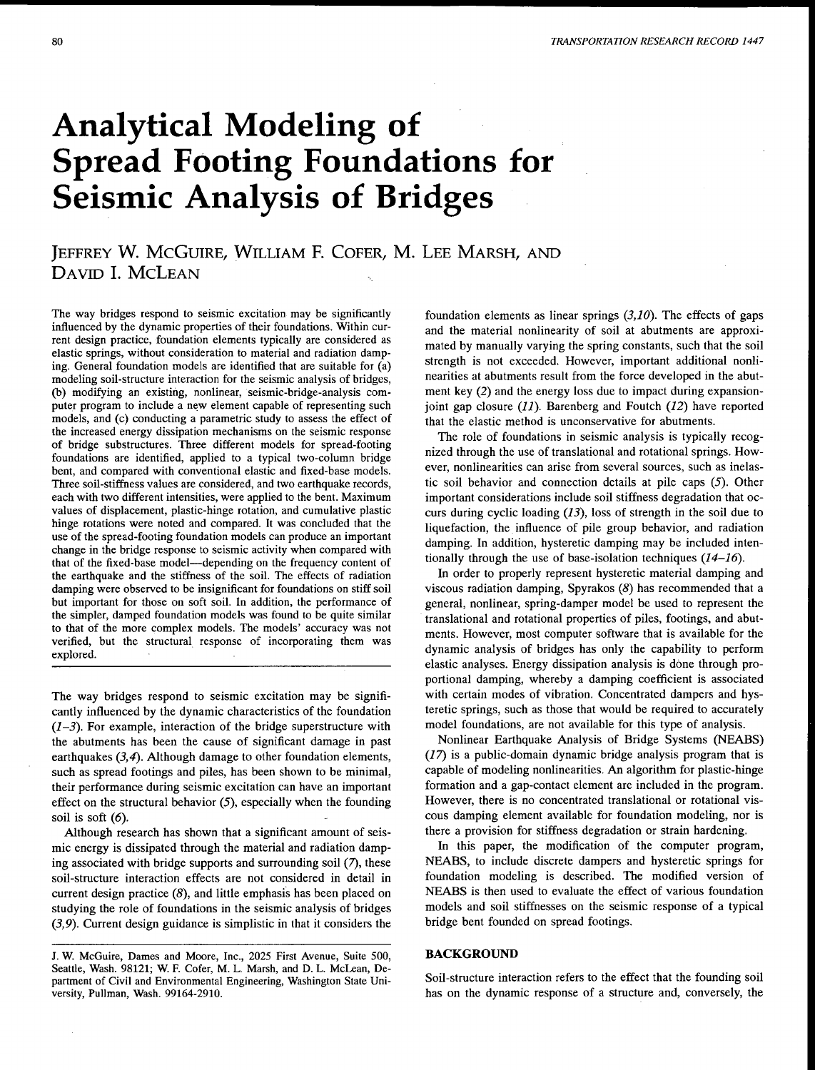# **Analytical Modeling of Spread Footing Foundations for Seismic Analysis of Bridges**

# JEFFREY **W.** McGUIRE, WILLIAM F. CoFER, **M.** LEE MARSH, AND DAVID I. McLEAN

The way bridges respond to seismic excitation may be significantly influenced by the dynamic properties of their foundations. Within current design practice, foundation elements typically are considered as elastic springs, without consideration to material and radiation damping. General foundation models are identified that are suitable for (a) modeling soil-structure interaction for the seismic analysis of bridges, (b) modifying an existing, nonlinear, seismic-bridge-analysis computer program to include a new element capable of representing such models, and (c) conducting a parametric study to assess the effect of the increased energy dissipation mechanisms on the seismic response of bridge substructures. Three different models for spread-footing foundations are identified, applied to a typical two-column bridge bent, and compared with conventional elastic and fixed-base models. Three soil-stiffness values are considered, and two earthquake records, each with two different intensities, were applied to the bent. Maximum values of displacement, plastic-hinge rotation, and cumulative plastic hinge rotations were noted and compared. It was concluded that the use of the spread-footing foundation models can produce an important change in the bridge response to seismic activity when compared with that of the fixed-base model—depending on the frequency content of the earthquake and the stiffness of the soil. The effects of radiation damping were observed to be insignificant for foundations on stiff soil but important for those on soft soil. In addition, the performance of the simpler, damped foundation models was found to be quite similar to that of the more complex models. The models' accuracy was not verified, but the structural response of incorporating them was explored.

The way bridges respond to seismic excitation may be significantly influenced by the dynamic characteristics of the foundation *(1-3).* For example, interaction of the bridge superstructure with the abutments has been the cause of significant damage in past earthquakes (3,4). Although damage to other foundation elements, such as spread footings and piles, has been shown to be minimal, their performance during seismic excitation can have an important effect on the structural behavior  $(5)$ , especially when the founding soil is soft  $(6)$ .

Although research has shown that a significant amount of seismic energy is dissipated through the material and radiation damping associated with bridge supports and surrounding soil (7), these soil-structure interaction effects are not considered in detail in current design practice (8), and little emphasis has been placed on studying the role of foundations in the seismic analysis of bridges (3,9). Current design guidance is simplistic in that it considers the

foundation elements as linear springs *(3,10).* The effects of gaps and the material nonlinearity of soil at abutments are approximated by manually varying the spring constants, such that the soil strength is not exceeded. However, important additional nonlinearities at abutments result from the force developed in the abutment key (2) and the energy loss due to impact during expansionjoint gap closure *(11).* Barenberg and Foutch *(12)* have reported that the elastic method is unconservative for abutments.

The role of foundations in seismic analysis is typically recognized through the use of translational and rotational springs. However, nonlinearities can arise from several sources, such as inelastic soil behavior and connection details at pile caps (5). Other important considerations include soil stiffness degradation that occurs during cyclic loading (13), loss of strength in the soil due to liquefaction, the influence of pile group behavior, and radiation damping. In addition, hysteretic damping may be included intentionally through the use of base-isolation techniques *(14-16).* 

In order to properly represent hysteretic material damping and viscous radiation damping, Spyrakos (8) has recommended that a general, nonlinear, spring-damper model be used to represent the translational and rotational properties of piles, footings, and abutments. However, most computer software that is available for the dynamic analysis of bridges has only the capability to perform elastic analyses. Energy dissipation analysis is done through proportional damping, whereby a damping coefficient is associated with certain modes of vibration. Concentrated dampers and hysteretic springs, such as those that would be required to accurately model foundations, are not available for this type of analysis.

Nonlinear Earthquake Analysis of Bridge Systems (NEABS) (17) is a public-domain dynamic bridge analysis program that is capable of modeling nonlinearities. An algorithm for plastic-hinge formation and a gap-contact element are included in the program. However, there is no concentrated translational or rotational viscous damping element available for foundation modeling, nor is there a provision for stiffness degradation or strain hardening.

In this paper, the modification of the computer program, NEABS, to include discrete dampers and hysteretic springs for foundation modeling is described. The modified version of NEABS is then used to evaluate the effect of various foundation models and soil stiffnesses on the seismic response of a typical bridge bent founded on spread footings.

#### **BACKGROUND**

Soil-structure interaction refers to the effect that the founding soil has on the dynamic response of a structure and, conversely, the

J. W. McGuire, Dames and Moore, Inc., 2025 First Avenue, Suite 500, Seattle, Wash. 98121; W. F. Cofer, M. L. Marsh, and D. L. McLean, Department of Civil and Environmental Engineering, Washington State University, Pullman, Wash. 99164-2910.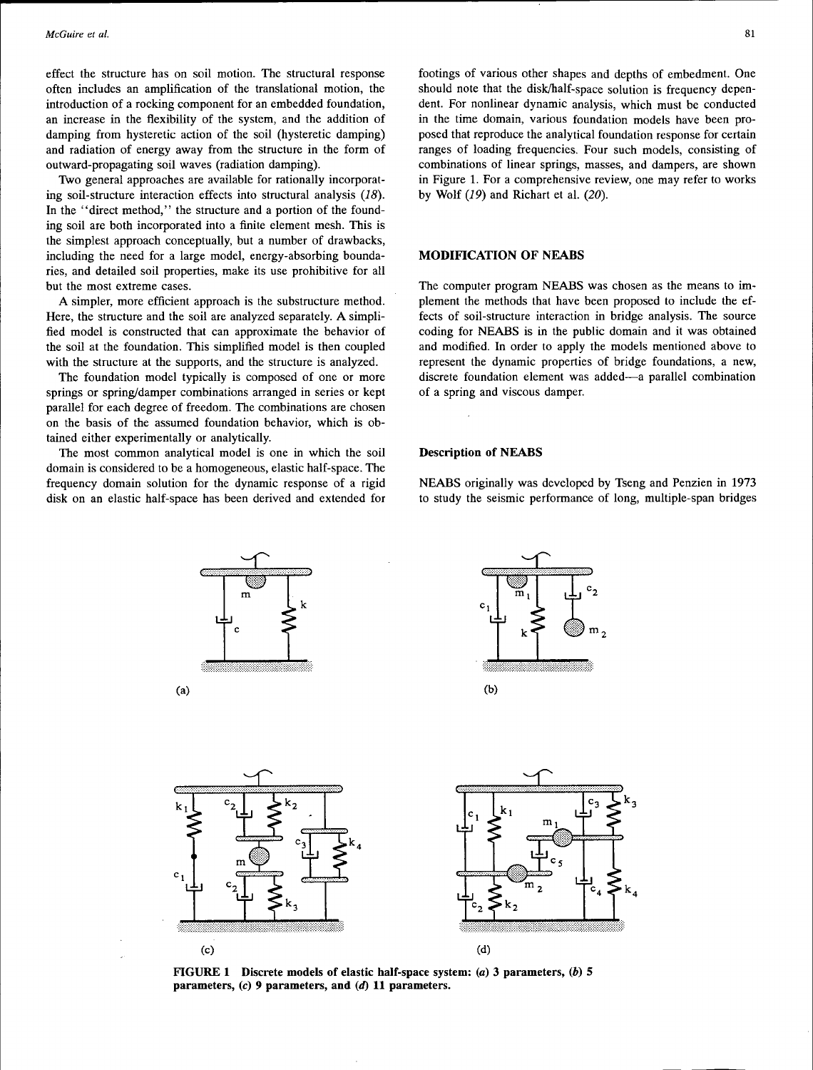effect the structure bas on soil motion. The structural response often includes an amplification of the translational motion, the introduction of a rocking component for an embedded foundation, an increase in the flexibility of the system, and the addition of damping from hysteretic action of the soil (hysteretic damping) and radiation of energy away from the structure in the form of outward-propagating soil waves (radiation damping).

Two general approaches are available for rationally incorporating soil-structure interaction effects into structural analysis (18). In the "direct method," the structure and a portion of the founding soil are both incorporated into a finite element mesh. This is the simplest approach conceptually, but a number of drawbacks, including the need for a large model, energy-absorbing boundaries, and detailed soil properties, make its use prohibitive for all but the most extreme cases.

A simpler, more efficient approach is the substructure method. Here, the structure and the soil are analyzed separately. A simplified model is constructed that can approximate the behavior of the soil at the foundation. This simplified model is then coupled with the structure at the supports, and the structure is analyzed.

The foundation model typically is composed of one or more springs or spring/damper combinations arranged in series or kept parallel for each degree of freedom. The combinations are chosen on the basis of the assumed foundation behavior, which is obtained either experimentally or analytically.

The most common analytical model is one in which the soil domain is considered to be a homogeneous, elastic half-space. The frequency domain solution for the dynamic response of a rigid disk on an elastic half-space has been derived and extended for

footings of various other shapes and depths of embedment. One should note that the disk/half-space solution is frequency dependent. For nonlinear dynamic analysis, which must be conducted in the time domain, various foundation models have been proposed that reproduce the analytical foundation response for certain ranges of loading frequencies. Four such models, consisting of combinations of linear springs, masses, and dampers, are shown in Figure 1. For a comprehensive review, one may refer to works by Wolf *(19)* and Richart et al. (20).

# MODIFICATION OF NEABS

The computer program NEABS was chosen as the means to implement the methods that have been proposed to include the effects of soil-structure interaction in bridge analysis. The source coding for NEABS is in the public domain and it was obtained and modified. In order to apply the models mentioned above to represent the dynamic properties of bridge foundations, a new, discrete foundation element was added-a parallel combination of a spring and viscous damper.

#### Description of NEABS

NEABS originally was developed by Tseng and Penzien in 1973 to study the seismic performance of long, multiple-span bridges



FIGURE 1 Discrete models of elastic half-space system: (a) 3 parameters, (b) 5 parameters, (c) 9 parameters, and (d) 11 parameters.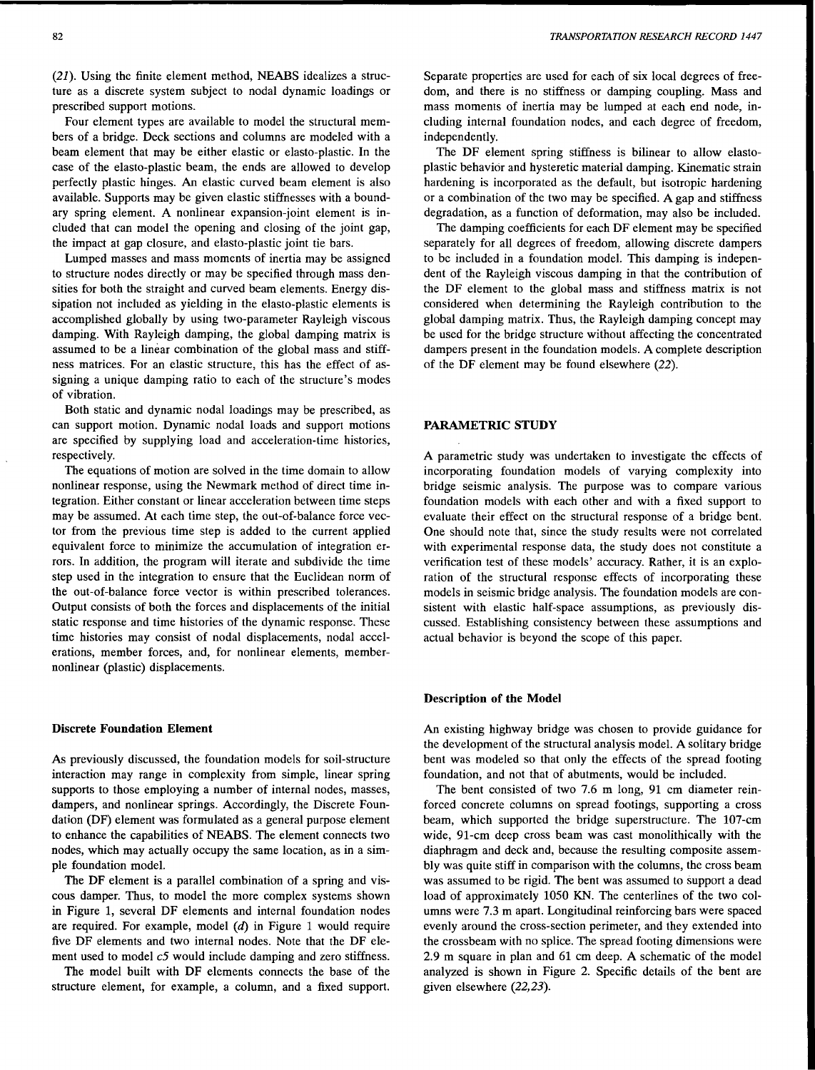(21). Using the finite element method, NEABS idealizes a structure as a discrete system subject to nodal dynamic loadings or prescribed support motions.

Four element types are available to model the structural members of a bridge. Deck sections and columns are modeled with a beam element that may be either elastic or elasto-plastic. In the case of the elasto-plastic beam, the ends are allowed to develop perfectly plastic hinges. An elastic curved beam element is also available. Supports may be given elastic stiffnesses with a boundary spring element. A nonlinear expansion-joint element is included that can model the opening and closing of the joint gap, the impact at gap closure, and elasto-plastic joint tie bars.

Lumped masses and mass moments of inertia may be assigned to structure nodes directly or may be specified through mass densities for both the straight and curved beam elements. Energy dissipation not included as yielding in the elasto-plastic elements is accomplished globally by using two-parameter Rayleigh viscous damping. With Rayleigh damping, the global damping matrix is assumed to be a linear combination of the global mass and stiffness matrices. For an elastic structure, this has the effect of assigning a unique damping ratio to each of the structure's modes of vibration.

Both static and dynamic nodal loadings may be prescribed, as can support motion. Dynamic nodal loads and support motions are specified by supplying load and acceleration-time histories, respectively.

The equations of motion are solved in the time domain to allow nonlinear response, using the Newmark method of direct time integration. Either constant or linear acceleration between time steps may be assumed. At each time step, the out-of-balance force vector from the previous time step is added to the current applied equivalent force to minimize the accumulation of integration errors. In addition, the program will iterate and subdivide the time step used in the integration to ensure that the Euclidean norm of the out-of-balance force vector is within prescribed tolerances. Output consists of both the forces and displacements of the initial static response and time histories of the dynamic response. These time histories may consist of nodal displacements, nodal accelerations, member forces, and, for nonlinear elements, membernonlinear (plastic) displacements.

#### **Discrete Foundation Element**

As previously discussed, the foundation models for soil-structure interaction may range in complexity from simple, linear spring supports to those employing a number of internal nodes, masses, dampers, and nonlinear springs. Accordingly, the Discrete Foundation (DF) element was formulated as a general purpose element to enhance the capabilities of NEABS. The element connects two nodes, which may actually occupy the same location, as in a simple foundation model.

The **DF** element is a parallel combination of a spring and viscous damper. Thus, to model the more complex systems shown in Figure 1, several DF elements and internal foundation nodes are required. For example, model  $(d)$  in Figure 1 would require five DF elements and two internal nodes. Note that the DF element used to model *c5* would include damping and zero stiffness.

The model built with DF elements connects the base of the structure element, for example, a column, and a fixed support. Separate properties are used for each of six local degrees of freedom, and there is no stiffness or damping coupling. Mass and mass moments of inertia may be lumped at each end node, including internal foundation nodes, and each degree of freedom, independently.

The DF element spring stiffness is bilinear to allow elastoplastic behavior and hysteretic material damping. Kinematic strain hardening is incorporated as the default, but isotropic hardening or a combination of the two may be specified. A gap and stiffness degradation, as a function of deformation, may also be included.

The damping coefficients for each DF element may be specified separately for all degrees of freedom, allowing discrete dampers to be included in a foundation model. This damping is independent of the Rayleigh viscous damping in that the contribution of the DF element to the global mass and stiffness matrix is not considered when determining the Rayleigh contribution to the global damping matrix. Thus, the Rayleigh damping concept may be used for the bridge structure without affecting the concentrated dampers present in the foundation models. A complete description of the DF element may be found elsewhere (22).

# **PARAMETRIC STUDY**

A parametric study was undertaken to investigate the effects of incorporating foundation models of varying complexity into bridge seismic analysis. The purpose was to compare various foundation models with each other and with a fixed support to evaluate their effect on the structural response of a bridge bent. One should note that, since the study results were not correlated with experimental response data, the study does not constitute a verification test of these models' accuracy. Rather, it is an exploration of the structural response effects of incorporating these models in seismic bridge analysis. The foundation models are consistent with elastic half-space assumptions, as previously discussed. Establishing consistency between these assumptions and actual behavior is beyond the scope of this paper.

#### **Description of the Model**

An existing highway bridge was chosen to provide guidance for the development of the structural analysis model. A solitary bridge bent was modeled so that only the effects of the spread footing foundation, and not that of abutments, would be included.

The bent consisted of two 7.6 m long, 91 cm diameter reinforced concrete columns on spread footings, supporting a cross beam, which supported the bridge superstructure. The 107-cm wide, 91-cm deep cross beam was cast monolithically with the diaphragm and deck and, because the resulting composite assembly was quite stiff in comparison with the columns, the cross beam was assumed to be rigid. The bent was assumed to support a dead load of approximately 1050 KN. The centerlines of the two columns were 7.3 m apart. Longitudinal reinforcing bars were spaced evenly around the cross-section perimeter, and they extended into the crossbeam with no splice. The spread footing dimensions were 2.9 m square in plan and 61 cm deep. A schematic of the model analyzed is shown in Figure 2. Specific details of the bent are given elsewhere (22,23).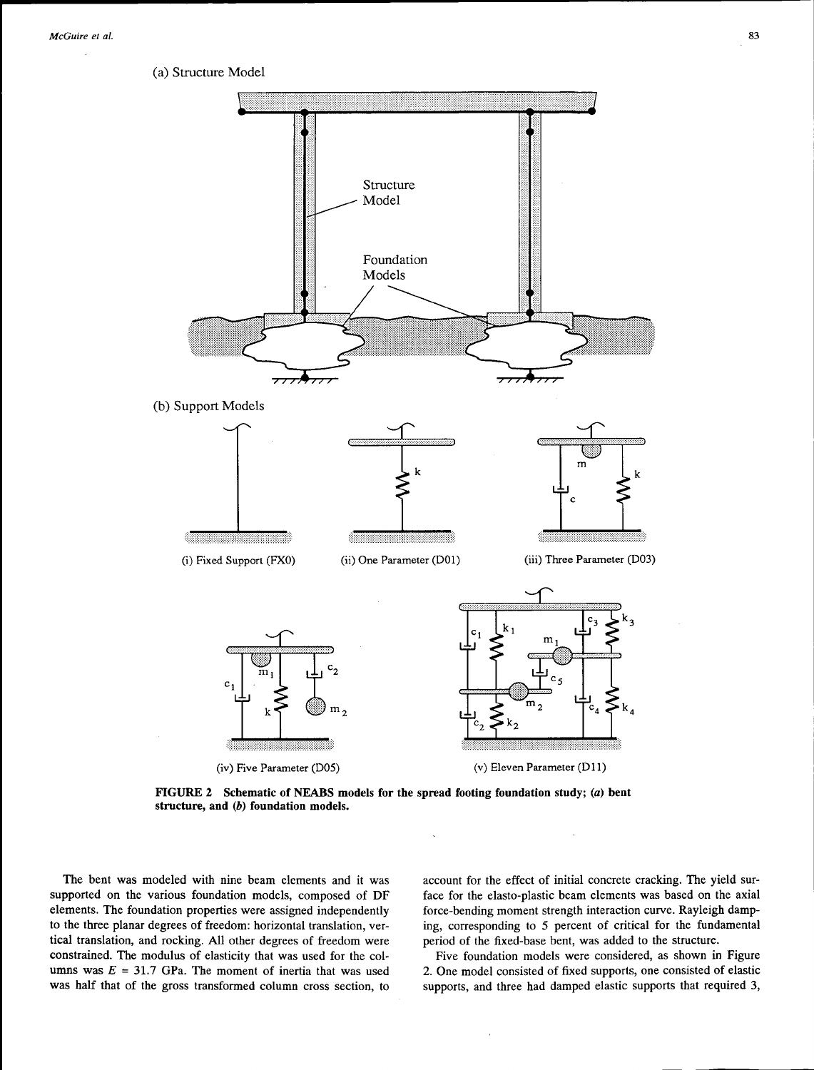(a) Structure Model



**FIGURE 2 Schematic of NEABS models for the spread footing foundation study;** (a) **bent structure, and (b) foundation models.** 

The bent was modeled with nine beam elements and it was supported on the various foundation models, composed of DF elements. The foundation properties were assigned independently to the three planar degrees of freedom: horizontal translation, vertical translation, and rocking. All other degrees of freedom were constrained. The modulus of elasticity that was used for the columns was  $E = 31.7$  GPa. The moment of inertia that was used was half that of the gross transformed column cross section, to account for the effect of initial concrete cracking. The yield surface for the elasto-plastic beam elements was based on the axial force-bending moment strength interaction curve. Rayleigh damping, corresponding to 5 percent of critical for the fundamental period of the fixed-base bent, was added to the structure.

Five foundation models were considered, as shown in Figure 2. One model consisted of fixed supports, one consisted of elastic supports, and three had damped elastic supports that required 3,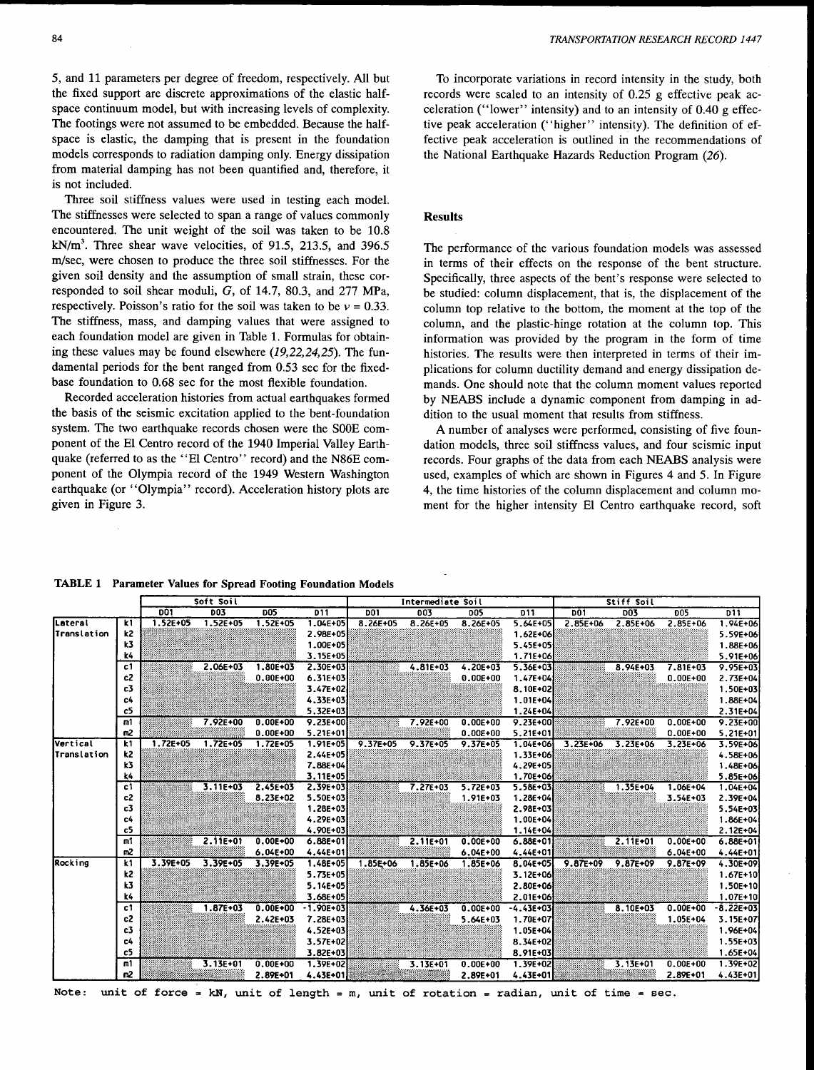5, and 11 parameters per degree of freedom, respectively. All but the fixed support are discrete approximations of the elastic halfspace continuum model, but with increasing levels of complexity. The footings were not assumed to be embedded. Because the halfspace is elastic, the damping that is present in the foundation models corresponds to radiation damping only. Energy dissipation from material damping has not been quantified and, therefore, it is not included.

Three soil stiffness values were used in testing each model. The stiffnesses were selected to span a range of values commonly encountered. The unit weight of the soil was taken to be 10.8  $kN/m<sup>3</sup>$ . Three shear wave velocities, of 91.5, 213.5, and 396.5 rn/sec, were chosen to produce the three soil stiffnesses. For the given soil density and the assumption of small strain, these corresponded to soil shear moduli, G, of 14.7, 80.3, and 277 MPa, respectively. Poisson's ratio for the soil was taken to be  $v = 0.33$ . The stiffness, mass, and damping values that were assigned to each foundation model are given in Table 1. Formulas for obtaining these values may be found elsewhere *(19,22,24,25).* The fundamental periods for the bent ranged from 0.53 sec for the fixedbase foundation to 0.68 sec for the most flexible foundation.

Recorded acceleration histories from actual earthquakes formed the basis of the seismic excitation applied to the bent-foundation system. The two earthquake records chosen were the SOOE component of the El Centro record of the 1940 Imperial Valley Earthquake (referred to as the "El Centro" record) and the N86E component of the Olympia record of the 1949 Western Washington earthquake (or "Olympia" record). Acceleration history plots are given in Figure 3.

To incorporate variations in record intensity in the study, both records were scaled to an intensity of 0.25 g effective peak acceleration ("lower" intensity) and to an intensity of  $0.40$  g effective peak acceleration ("higher" intensity). The definition of effective peak acceleration is outlined in the recommendations of the National Earthquake Hazards Reduction Program (26).

#### Results

The performance of the various foundation models was assessed in terms of their effects on the response of the bent structure. Specifically, three aspects of the bent's response were selected to be studied: column displacement, that is, the displacement of the column top relative to the bottom, the moment at the top of the column, and the plastic-hinge rotation at the column top. This information was provided by the program in the form of time histories. The results were then interpreted in terms of their implications for column ductility demand and energy dissipation demands. One should note that the column moment values reported by NEABS include a dynamic component from damping in addition to the usual moment that results from stiffness.

A number of analyses were performed, consisting of five foundation models, three soil stiffness values, and four seismic input records. Four graphs of the data from each NEABS analysis were used, examples of which are shown in Figures 4 and 5. In Figure 4, the time histories of the column displacement and column moment for the higher intensity El Centro earthquake record, soft

TABLE 1 Parameter Values for Spread Footing Foundation Models

|             |                | Soft Soil       |              |              |              | Intermediate Soil |              |              |              | Stiff Soil   |              |              |              |
|-------------|----------------|-----------------|--------------|--------------|--------------|-------------------|--------------|--------------|--------------|--------------|--------------|--------------|--------------|
|             |                | D <sub>01</sub> | <b>DO3</b>   | <b>DO5</b>   | D11          | <b>DO1</b>        | 003          | <b>DO5</b>   | D11          | D01          | <b>DO3</b>   | <b>DO5</b>   | D11          |
| Lateral     | k1             | $1.52E + 05$    | $1.52E + 05$ | $1.52E + 05$ | $1.04E + 05$ | $8.26E + 05$      | $8.26E + 05$ | $8.26E + 05$ | $5.64E+05$   | $2.85E+06$   | $2.85E+06$   | $2.85E + 06$ | 1.94E+06     |
| Translation | k2             |                 |              |              | 2.98E+05     |                   |              |              | 1.62E+06     |              |              |              | 5.59E+06     |
|             | k3             |                 |              |              | 1.00E+05     |                   |              |              | 5.45E+05     |              |              |              | 1,88E+06     |
|             | k4             |                 |              |              | $3.15E + 05$ |                   |              |              | 1.71E+06     |              |              |              | 5.91E+06     |
|             | c1             |                 | 2.06E+03     | $1.80E + 03$ | $2.30E+03$   |                   | $4.81E + 03$ | $4.20E + 03$ | $5.36E + 03$ |              | 8.94E+03     | 7.81E+03     | 9.95E+03     |
|             | c2             |                 |              | $0.00E+00$   | 6.31E+03     |                   |              | $0.00E+00$   | $1.47E + 04$ |              |              | $0.00E+00$   | 2.73E+04     |
|             | c3             |                 |              |              | 3.47E+02     |                   |              |              | 8.10E+02     |              |              |              | 1.50E+03     |
|             | c4             |                 |              |              | 4.33E+03     |                   |              |              | $1.01E + 04$ |              |              |              | 1.88E+04     |
|             | c5             |                 |              |              | 5.32E+03     |                   |              |              | 1.24E+04     |              |              |              | 2.31E+04     |
|             | m1             |                 | 7.92E+00     | $0.00E+00$   | $9.23E+00$   |                   | 7.92E+00     | $0.00E + 00$ | $9.23E+00$   |              | 7.92E+00     | $0.00E+00$   | $9.23E+00$   |
|             | m2             |                 |              | $0.00E+00$   | 5.21E+01     |                   |              | $0.00E+00$   | $5.21E+01$   |              |              | $0.00E+00$   | $5.21E + 01$ |
| Vertical    | k1             | $1.72E + 05$    | $1.72E + 05$ | 1.72E+05     | 1.91E+05     | 9.37E+05          | $9.37E + 05$ | 9.37E+05     | 1.04E+06     | $3.23E + 06$ | $3.23E + 06$ | $3.23E + 06$ | 3.59E+06     |
| Translation | k2             |                 |              |              | 2.44E+05     |                   |              |              | 1.33E+06     |              |              |              | 4.58E+06     |
|             | k3             |                 |              |              | 7.88E+04     |                   |              |              | 4.29E+05     |              |              |              | 1.48E+06     |
|             | k4             |                 |              |              | 3.11E+05     |                   |              |              | 1.70E+06     |              |              |              | 5.85E+06     |
|             | c1             |                 | $3.11E + 03$ | $2.45E+03$   | $2.39E + 03$ |                   | 7.27E+03     | $5.72E+03$   | $5.58E+03$   |              | 1.35E+04     | $1.06E + 04$ | $1.04E + 04$ |
|             | c2             |                 |              | 8.23E+02     | 5.50E+03     |                   |              | 1.91E+03     | 1.28E+04     |              |              | 3.54E+03     | 2.39E+04     |
|             | c3             |                 |              |              | $1.28E + 03$ |                   |              |              | 2.98E+03     |              |              |              | 5.54E+03     |
|             | c4             |                 |              |              | 4.29E+03     |                   |              |              | 1.00E+04     |              |              |              | 1.86E+04     |
|             | c5             |                 |              |              | 4.90E+03     |                   |              |              | $1.14E + 04$ |              |              |              | 2.12E+04     |
|             | m1             |                 | $2.11E+01$   | $0.00E + 00$ | $6.88E + 01$ |                   | $2.11E+01$   | $0.00E+00$   | $6.88E + 01$ |              | $2.11E+01$   | $0.00E + 00$ | $6.88E + 01$ |
|             | m <sup>2</sup> |                 |              | $6.04E+00$   | 4.44E+01     |                   |              | $6.04E + 00$ | $4.44E+01$   |              |              | $6.04E+00$   | 4.44E+01     |
| Rocking     | k1             | 3.39E+05        | 3.39E+05     | 3.39E+05     | 1.48E+05     | 1.85E+06          | $1.85E + 06$ | 1.85E+06     | 8.04E+05     | $9.87E+09$   | 9.87E+09     | 9.87E+09     | $4.30E + 09$ |
|             | k2             |                 |              |              | 5.73E+05     |                   |              |              | 3.12E+06     |              |              |              | 1.67E+10     |
|             | k3             |                 |              |              | 5.14E+05     |                   |              |              | 2.80E+06     |              |              |              | 1.50E+10     |
|             | k4             |                 |              |              | 3.68E+05     |                   |              |              | 2.01E+06     |              |              |              | $1.07E+10$   |
|             | c1             |                 | $1.87E + 03$ | $0.00E+00$   | -1.90E+03    |                   | $4.36E + 03$ | $0.00E+00$   | $-4.43E+03$  |              | 8.10E+03     | $0.00E + 00$ | $-8.22E+03$  |
|             | c2             |                 |              | $2.42E + 03$ | 7.28E+03     |                   |              | 5.64E+03     | 1.70E+07     |              |              | $1.05E + 04$ | 3.15E+07     |
|             | c3             |                 |              |              | 4.52E+03     |                   |              |              | $1.05E + 04$ |              |              |              | 1.96E+04     |
|             | c4             |                 |              |              | 3.57E+02     |                   |              |              | 8.34E+02     |              |              |              | 1.55E+03     |
|             | c5             |                 |              |              | 3.82E+03     |                   |              |              | 8.91E+03     |              |              |              | 1.65E+04     |
|             | m1             |                 | 3.13E+01     | $0.00E + 00$ | 1.39E+02     |                   | $3.13E + 01$ | $0.00E + 00$ | $1.39E + 02$ |              | $3.13E+01$   | $0.00E+00$   | 1.39E+02     |
|             | m <sup>2</sup> |                 |              | 2.89E+01     | 4.43E+01     |                   |              | 2.89E+01     | $4.43E+01$   |              |              | 2.89E+01     | 4.43E+01)    |

Note: unit of force kN, unit of length = m, unit of rotation = radian, unit of time = sec.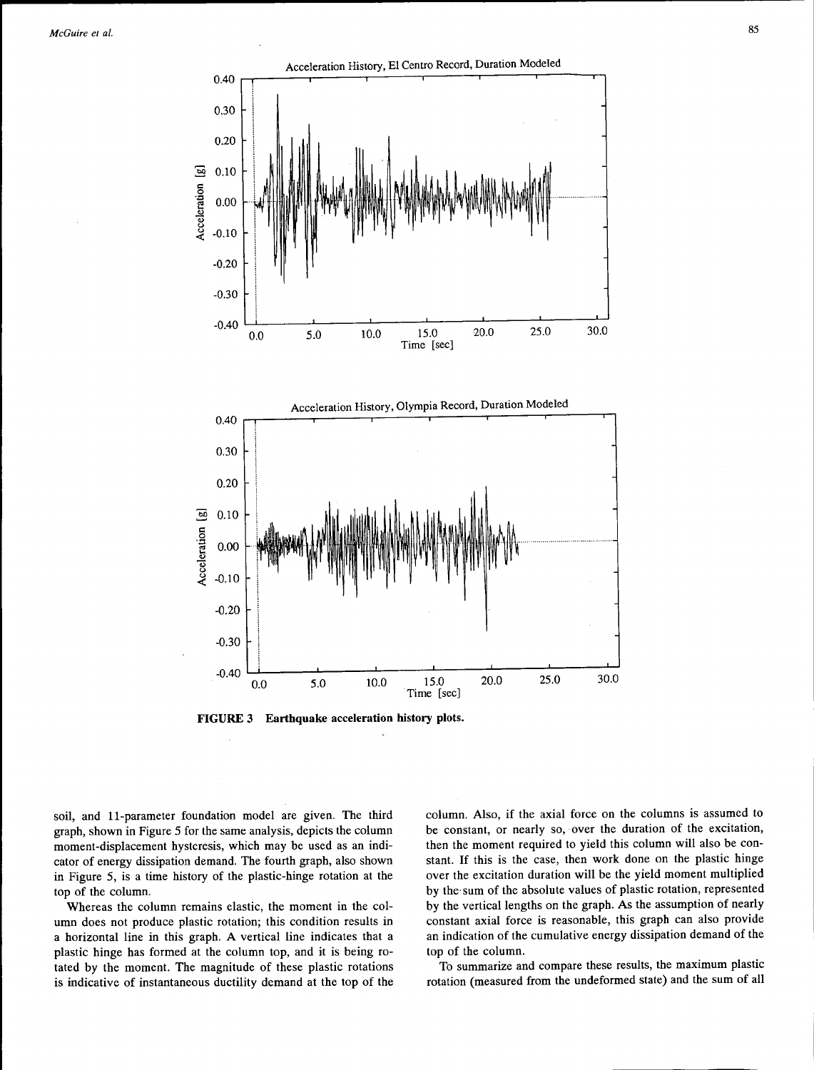

**FIGURE 3 Earthquake acceleration history plots.** 

soil, and 11-parameter foundation model are given. The third graph, shown in Figure 5 for the same analysis, depicts the column moment-displacement hysteresis, which may be used as an indicator of energy dissipation demand. The fourth graph, also shown in Figure 5, is a time history of the plastic-hinge rotation at the top of the column.

Whereas the column remains elastic, the moment in the column does not produce plastic rotation; this condition results in a horizontal line in this graph. A vertical line indicates that a plastic hinge has formed at the column top, and it is being rotated by the moment. The magnitude of these plastic rotations is indicative of instantaneous ductility demand at the top of the column. Also, if the axial force on the columns is assumed to be constant, or nearly so, over the duration of the excitation, then the moment required to yield this column will also be constant. If this is the case, then work done on the plastic hinge over the excitation duration will be the yield moment multiplied by the· sum of the absolute values of plastic rotation, represented by the vertical lengths on the graph. As the assumption of nearly constant axial force is reasonable, this graph can also provide an indication of the cumulative energy dissipation demand of the top of the column.

To summarize and compare these results, the maximum plastic rotation (measured from the undeformed state) and the sum of all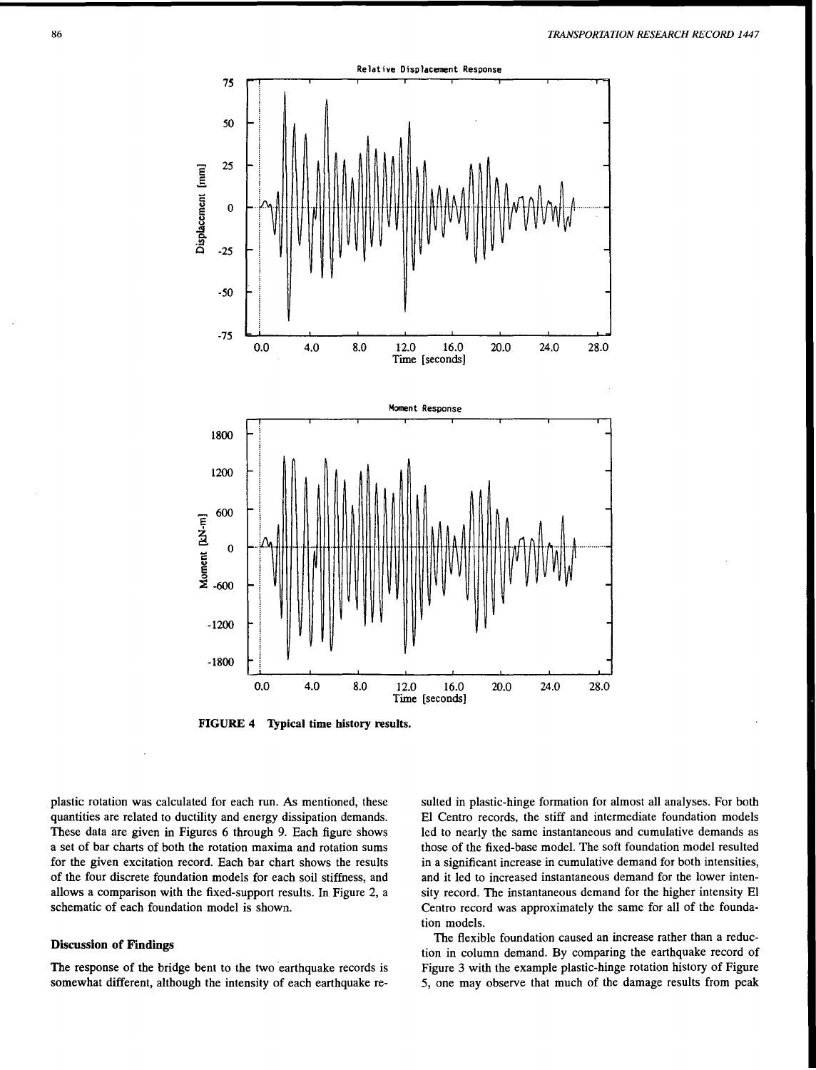

FIGURE 4 Typical time history results.

plastic rotation was calculated for each run. As mentioned, these quantities are related to ductility and energy dissipation demands. These data are given in Figures 6 through 9. Each figure shows a set of bar charts of both the rotation maxima and rotation sums for the given excitation record. Each bar chart shows the results of the four discrete foundation models for each soil stiffness, and allows a comparison with the fixed-support results. In Figure 2, a schematic of each foundation model is shown.

## Discussion of Findings

The response of the bridge bent to the two earthquake records is somewhat different, although the intensity of each earthquake resuited in plastic-hinge formation for almost all analyses. For both El Centro records, the stiff and intermediate foundation models led to nearly the same instantaneous and cumulative demands as those of the fixed-base model. The soft foundation model resulted in a significant increase in cumulative demand for both intensities, and it led to increased instantaneous demand for the lower intensity record. The instantaneous demand for the higher intensity El Centro record was approximately the same for all of the foundation models.

The flexible foundation caused an increase rather than a reduction in column demand. By comparing the earthquake record of Figure 3 with the example plastic-hinge rotation history of Figure 5, one may observe that much of the damage results from peak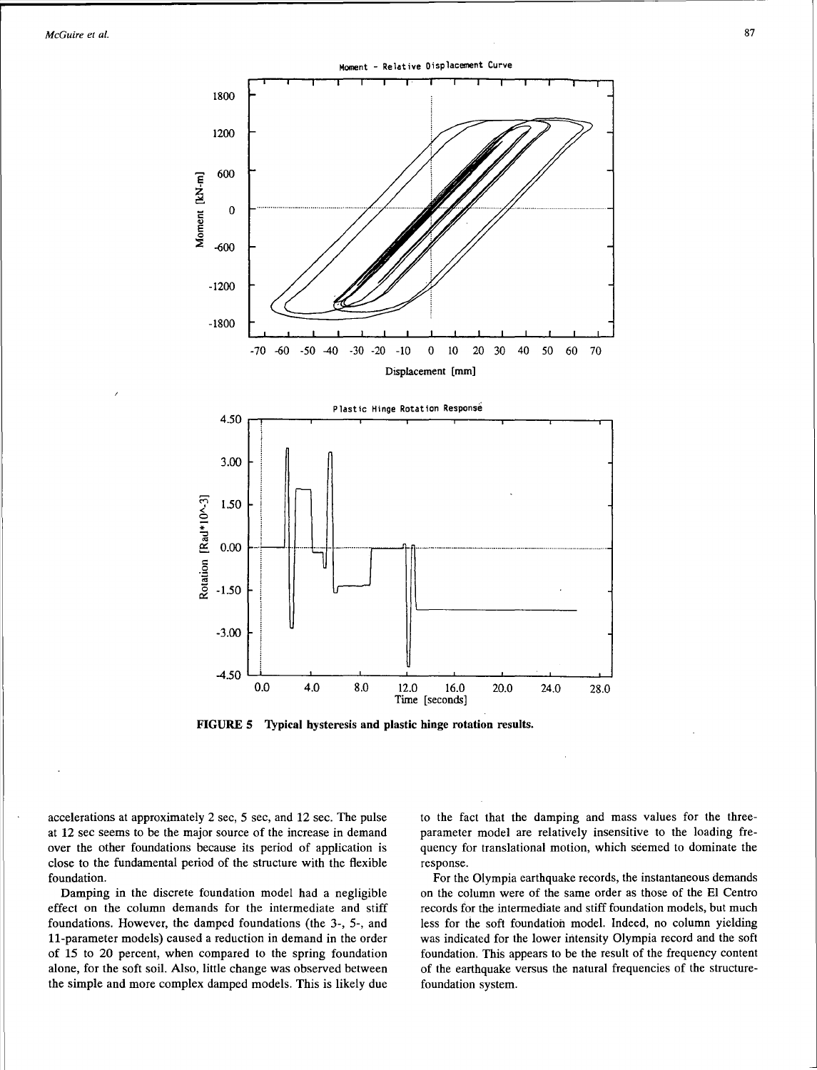*McGuire et al.* 87



<sup>~</sup>"' 0.00 ~-· ~· . -··-· ...... - ·-·-·············---'I-fl········-·------·-···········-···········-··········-·········· ···························-- ' LJ <sup>c</sup>

0.0 4.0 8.0 12.0 16.0 20.0 24.0 28.0 Time [seconds]



accelerations at approximately 2 sec, *5* sec, and 12 sec. The pulse at 12 sec seems to be the major source of the increase in demand over the other foundations because its period of application is close to the fundamental period of the structure with the flexible foundation.

 $\subset$  $\stackrel{*}{\Rightarrow}$ 

ation

 $-1.50$ 

-3.00

-4.50

Damping in the discrete foundation model had a negligible effect on the column demands for the intermediate and stiff foundations. However, the damped foundations (the 3-, 5-, and 11-parameter models) caused a reduction in demand in the order of 15 to 20 percent, when compared to the spring foundation alone, for the soft soil. Also, little change was observed between the simple and more complex damped models. This is likely due

to the fact that the damping and mass values for the threeparameter model are relatively insensitive to the loading frequency for translational motion, which seemed to dominate the response.

For the Olympia earthquake records, the instantaneous demands on the column were of the same order as those of the El Centro records for the intermediate and stiff foundation models, but much less for the soft foundation model. Indeed, no column yielding was indicated for the lower intensity Olympia record and the soft foundation. This appears to be the result of the frequency content of the earthquake versus the natural frequencies of the structurefoundation system.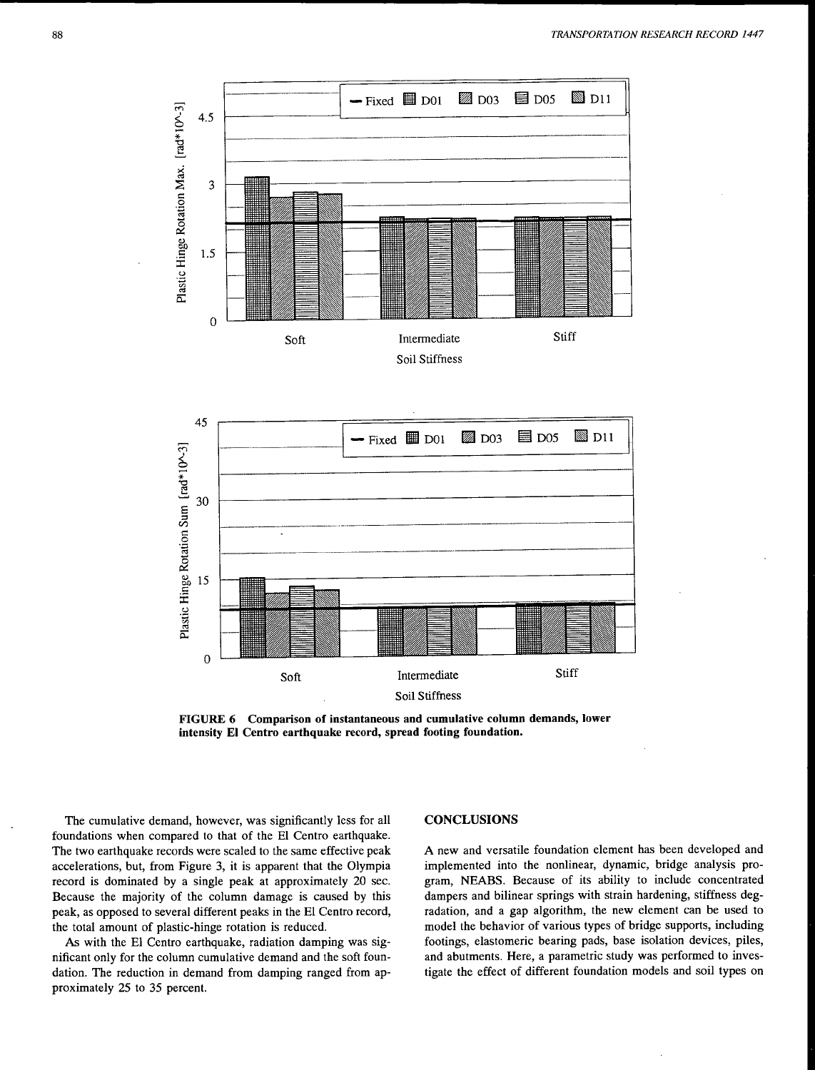



**FIGURE 6 Comparison of instantaneous and cumulative column demands, lower intensity El Centro earthquake record, spread footing foundation.** 

The cumulative demand, however, was significantly less for all foundations when compared to that of the El Centro earthquake. The two earthquake records were scaled to the same effective peak accelerations, but, from Figure 3, it is apparent that the Olympia record is dominated by a single peak at approximately 20 sec. Because the majority of the column damage is caused by this peak, as opposed to several different peaks in the El Centro record, the total amount of plastic-hinge rotation is reduced.

As with the El Centro earthquake, radiation damping was significant only for the column cumulative demand and the soft foundation. The reduction in demand from damping ranged from approximately 25 to 35 percent.

#### **CONCLUSIONS**

A new and versatile foundation element has been developed and implemented into the nonlinear, dynamic, bridge analysis program, NEABS. Because of its ability to include concentrated dampers and bilinear springs with strain hardening, stiffness degradation, and a gap algorithm, the new element can be used to model the behavior of various types of bridge supports, including footings, elastomeric bearing pads, base isolation devices, piles, and abutments. Here, a parametric study was performed to investigate the effect of different foundation models and soil types on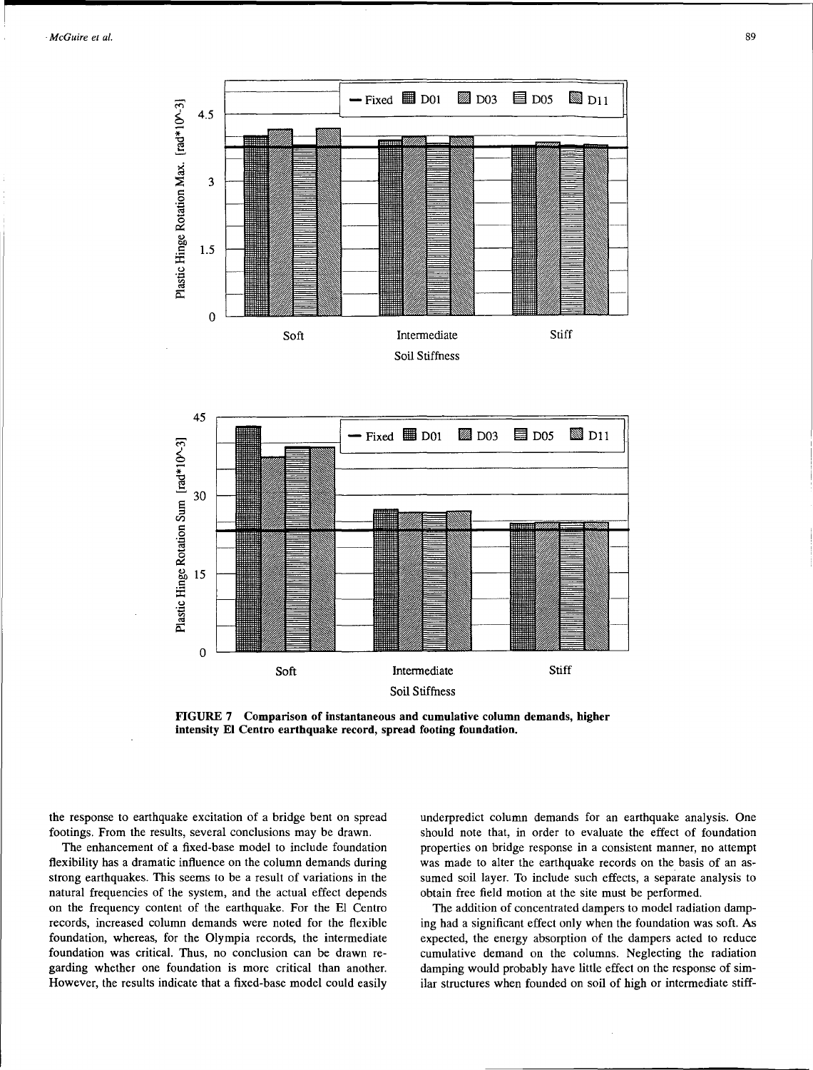



**FIGURE 7 Comparison of instantaneous and cumulative column demands, higher intensity El Centro earthquake record, spread footing foundation.** 

the response to earthquake excitation of a bridge bent on spread footings. From the results, several conclusions may be drawn.

The enhancement of a fixed-base model to include foundation flexibility has a dramatic influence on the column demands during strong earthquakes. This seems to be a result of variations in the natural frequencies of the system, and the actual effect depends on the frequency content of the earthquake. For the El Centro records, increased column demands were noted for the flexible foundation, whereas, for the Olympia records, the intermediate foundation was critical. Thus, no conclusion can be drawn regarding whether one foundation is more critical than another. However, the results indicate that a fixed-base model could easily

underpredict column demands for an earthquake analysis. One should note that, in order to evaluate the effect of foundation properties on bridge response in a consistent manner, no attempt was made to alter the earthquake records on the basis of an assumed soil layer. To include such effects, a separate analysis to obtain free field motion at the site must be performed.

The addition of concentrated dampers to model radiation damping had a significant effect only when the foundation was soft. As expected, the energy absorption of the dampers acted to reduce cumulative demand on the columns. Neglecting the radiation damping would probably have little effect on the response of similar structures when founded on soil of high or intermediate stiff-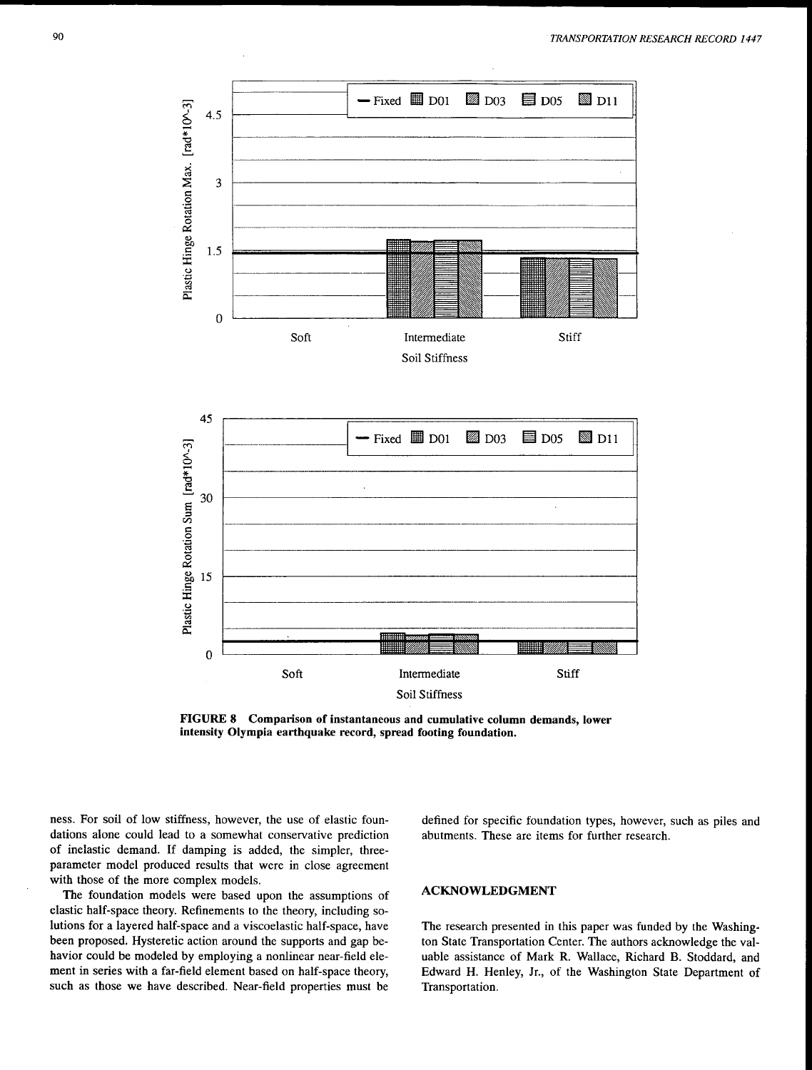



**FIGURE 8 Comparison of instantaneous and cumulative column demands, lower intensity Olympia earthquake record, spread footing foundation.** 

ness. For soil of low stiffness, however, the use of elastic foundations alone could lead to a somewhat conservative prediction of inelastic demand. If damping is added, the simpler, threeparameter model produced results that were in close agreement with those of the more complex models.

The foundation models were based upon the assumptions of elastic half-space theory. Refinements to the theory, including solutions for a layered half-space and a viscoelastic half-space, have been proposed. Hysteretic action around the supports and gap behavior could be modeled by employing a nonlinear near-field element in series with a far-field element based on half-space theory, such as those we have described. Near-field properties must be

defined for specific foundation types, however, such as piles and abutments. These are items for further research.

# **ACKNOWLEDGMENT**

The research presented in this paper was funded by the Washington State Transportation Center. The authors acknowledge the valuable assistance of Mark R. Wallace, Richard **B.** Stoddard, and Edward **H.** Henley, Jr., of the Washington State Department of Transportation.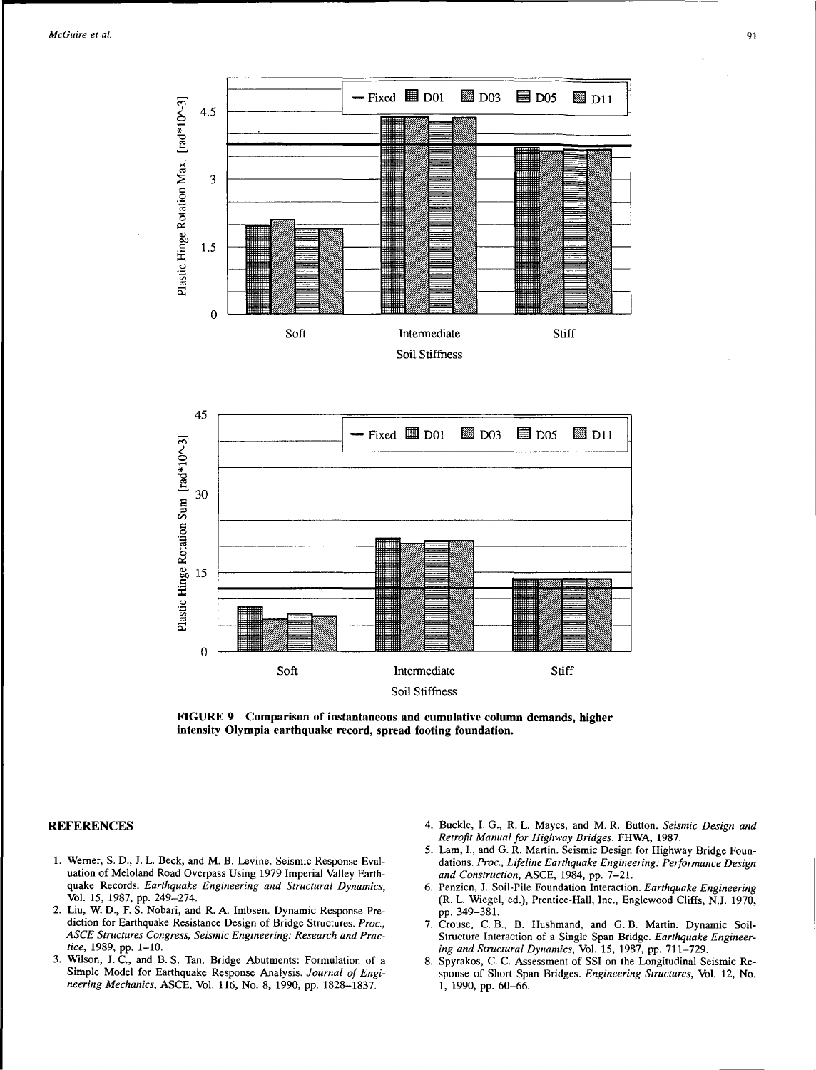



**FIGURE 9 Comparison of instantaneous and cumulative column demands, higher intensity Olympia earthquake record, spread footing foundation.** 

### **REFERENCES**

- 1. Werner, S. D., J. L. Beck, and M. B. Levine. Seismic Response Evaluation of Meloland Road Overpass Using 1979 Imperial Valley Earthquake Records. *Earthquake Engineering and Structural Dynamics,*  Vol. 15, 1987, pp. 249-274.
- 2. Liu, W. D., F. S. Nobari, and R. A Imbsen. Dynamic Response Prediction for Earthquake Resistance Design of Bridge Structures. *Proc., ASCE Structures Congress, Seismic Engineering: Research and Practice,* 1989, pp. 1-10.
- 3. Wilson, J. C., and B. S. Tan. Bridge Abutments: Formulation of a Simple Model for Earthquake Response Analysis. *Journal of Engineering Mechanics,* ASCE, Vol. 116, No. 8, 1990, pp. 1828-1837.
- 4. Buckle, I. G., R. L. Mayes, and M. R. Button. *Seismic Design and Retrofit Manual for Highway Bridges.* FHWA, 1987.
- 5. Lam, I., and G. R. Martin. Seismic Design for Highway Bridge Foundations. *Proc., Lifeline Earthquake Engineering: Performance Design and Construction,* ASCE, 1984, pp. 7-21.
- 6. Penzien, J. Soil-Pile Foundation Interaction. *Earthquake Engineering*  (R. L. Wiegel, ed.), Prentice-Hall, Inc., Englewood Cliffs, N.J. 1970, pp. 349-381.
- 7. Crouse, C. B., B. Hushmand, and G. B. Martin. Dynamic Soil-Structure Interaction of a Single Span Bridge. *Earthquake Engineering and Structural Dynamics,* Vol. 15, 1987, pp. 711-729.
- 8. Spyrakos, C. C. Assessment of SSI on the Longitudinal Seismic Response of Short Span Bridges. *Engineering Structures,* Vol. 12, No. l, 1990, pp. 60-66.